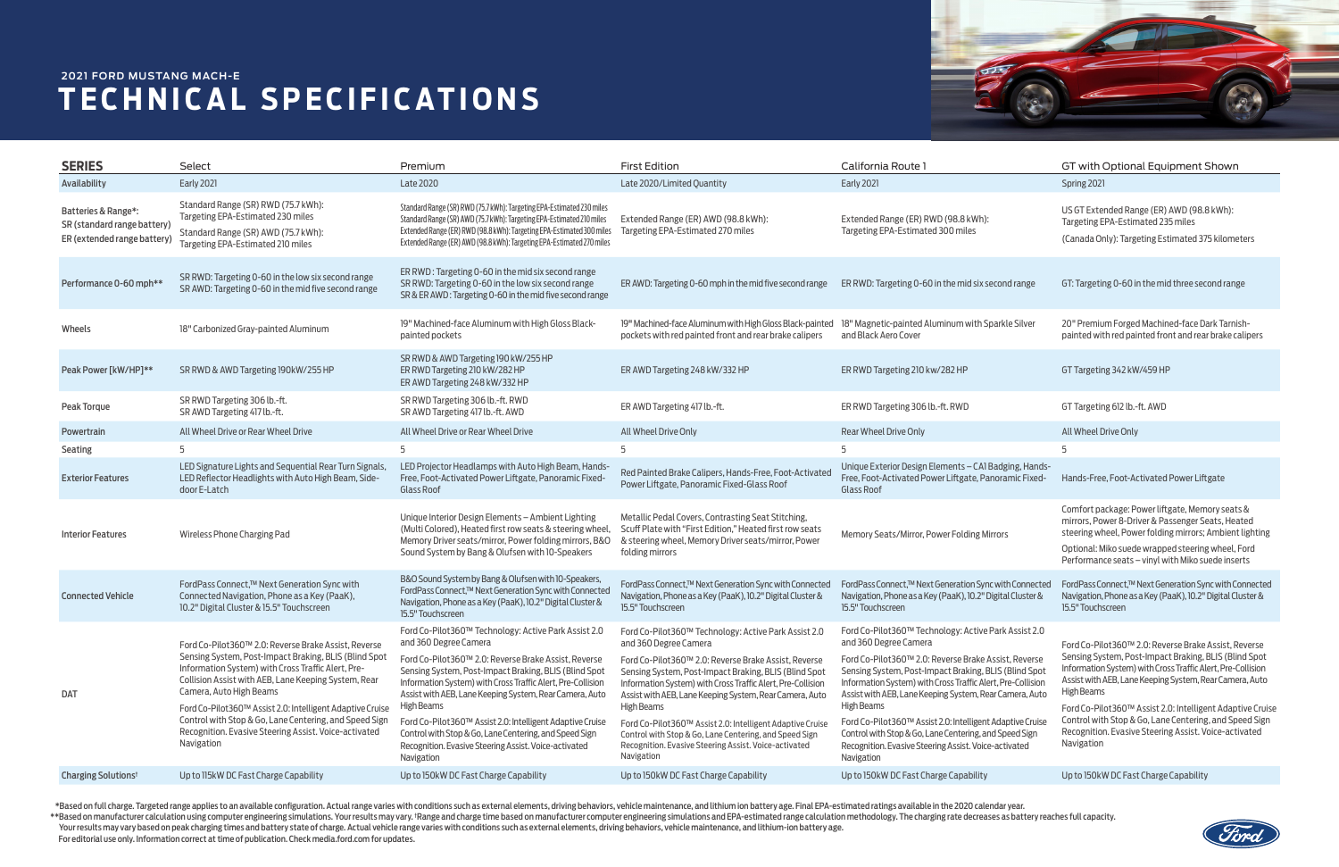| <b>SERIES</b>                                                                     | Select                                                                                                                                                                                                                                                                                                                                                                                                                                                | Premium                                                                                                                                                                                                                                                                                                                                                                                                                                                                                                                               | <b>First Edition</b>                                                                                                                                                                                                                                                                                                                                                                                                                                                                                                                 | California Route                                                                                                                                                                                                                                                                                                                                                                                                                                                                                                                      | GT with Optional Equipment Shown                                                                                                                                                                                                                                                                                                                                                                                                                    |
|-----------------------------------------------------------------------------------|-------------------------------------------------------------------------------------------------------------------------------------------------------------------------------------------------------------------------------------------------------------------------------------------------------------------------------------------------------------------------------------------------------------------------------------------------------|---------------------------------------------------------------------------------------------------------------------------------------------------------------------------------------------------------------------------------------------------------------------------------------------------------------------------------------------------------------------------------------------------------------------------------------------------------------------------------------------------------------------------------------|--------------------------------------------------------------------------------------------------------------------------------------------------------------------------------------------------------------------------------------------------------------------------------------------------------------------------------------------------------------------------------------------------------------------------------------------------------------------------------------------------------------------------------------|---------------------------------------------------------------------------------------------------------------------------------------------------------------------------------------------------------------------------------------------------------------------------------------------------------------------------------------------------------------------------------------------------------------------------------------------------------------------------------------------------------------------------------------|-----------------------------------------------------------------------------------------------------------------------------------------------------------------------------------------------------------------------------------------------------------------------------------------------------------------------------------------------------------------------------------------------------------------------------------------------------|
| Availability                                                                      | <b>Early 2021</b>                                                                                                                                                                                                                                                                                                                                                                                                                                     | <b>Late 2020</b>                                                                                                                                                                                                                                                                                                                                                                                                                                                                                                                      | Late 2020/Limited Quantity                                                                                                                                                                                                                                                                                                                                                                                                                                                                                                           | <b>Early 2021</b>                                                                                                                                                                                                                                                                                                                                                                                                                                                                                                                     | Spring 2021                                                                                                                                                                                                                                                                                                                                                                                                                                         |
| Batteries & Range*:<br>SR (standard range battery)<br>ER (extended range battery) | Standard Range (SR) RWD (75.7 kWh):<br>Targeting EPA-Estimated 230 miles<br>Standard Range (SR) AWD (75.7 kWh):<br>Targeting EPA-Estimated 210 miles                                                                                                                                                                                                                                                                                                  | Standard Range (SR) RWD (75.7 kWh): Targeting EPA-Estimated 230 miles<br>Standard Range (SR) AWD (75.7 kWh): Targeting EPA-Estimated 210 miles<br>Extended Range (ER) RWD (98.8 kWh): Targeting EPA-Estimated 300 miles<br>Extended Range (ER) AWD (98.8 kWh): Targeting EPA-Estimated 270 miles                                                                                                                                                                                                                                      | Extended Range (ER) AWD (98.8 kWh):<br>Targeting EPA-Estimated 270 miles                                                                                                                                                                                                                                                                                                                                                                                                                                                             | Extended Range (ER) RWD (98.8 kWh):<br>Targeting EPA-Estimated 300 miles                                                                                                                                                                                                                                                                                                                                                                                                                                                              | US GT Extended Range (ER) AWD (98.8 kWh):<br>Targeting EPA-Estimated 235 miles<br>(Canada Only): Targeting Estimated 375 kilometers                                                                                                                                                                                                                                                                                                                 |
| Performance 0-60 mph**                                                            | SR RWD: Targeting 0-60 in the low six second range<br>SR AWD: Targeting 0-60 in the mid five second range                                                                                                                                                                                                                                                                                                                                             | ER RWD: Targeting 0-60 in the mid six second range<br>SR RWD: Targeting 0-60 in the low six second range<br>SR & ER AWD: Targeting 0-60 in the mid five second range                                                                                                                                                                                                                                                                                                                                                                  | ER AWD: Targeting 0-60 mph in the mid five second range                                                                                                                                                                                                                                                                                                                                                                                                                                                                              | ER RWD: Targeting 0-60 in the mid six second range                                                                                                                                                                                                                                                                                                                                                                                                                                                                                    | GT: Targeting 0-60 in the mid three second range                                                                                                                                                                                                                                                                                                                                                                                                    |
| Wheels                                                                            | 18" Carbonized Gray-painted Aluminum                                                                                                                                                                                                                                                                                                                                                                                                                  | 19" Machined-face Aluminum with High Gloss Black-<br>painted pockets                                                                                                                                                                                                                                                                                                                                                                                                                                                                  | 19" Machined-face Aluminum with High Gloss Black-painted<br>pockets with red painted front and rear brake calipers                                                                                                                                                                                                                                                                                                                                                                                                                   | 18" Magnetic-painted Aluminum with Sparkle Silver<br>and Black Aero Cover                                                                                                                                                                                                                                                                                                                                                                                                                                                             | 20" Premium Forged Machined-face Dark Tarnish-<br>painted with red painted front and rear brake calipers                                                                                                                                                                                                                                                                                                                                            |
| Peak Power [kW/HP]**                                                              | SR RWD & AWD Targeting 190kW/255 HP                                                                                                                                                                                                                                                                                                                                                                                                                   | SR RWD & AWD Targeting 190 kW/255 HP<br>ER RWD Targeting 210 kW/282 HP<br>ER AWD Targeting 248 kW/332 HP                                                                                                                                                                                                                                                                                                                                                                                                                              | ER AWD Targeting 248 kW/332 HP                                                                                                                                                                                                                                                                                                                                                                                                                                                                                                       | ER RWD Targeting 210 kw/282 HP                                                                                                                                                                                                                                                                                                                                                                                                                                                                                                        | GT Targeting 342 kW/459 HP                                                                                                                                                                                                                                                                                                                                                                                                                          |
| Peak Torque                                                                       | SR RWD Targeting 306 lb.-ft.<br>SR AWD Targeting 417 lb.-ft.                                                                                                                                                                                                                                                                                                                                                                                          | SR RWD Targeting 306 lb.-ft. RWD<br>SR AWD Targeting 417 lb.-ft. AWD                                                                                                                                                                                                                                                                                                                                                                                                                                                                  | ER AWD Targeting 417 lb.-ft.                                                                                                                                                                                                                                                                                                                                                                                                                                                                                                         | ER RWD Targeting 306 lb.-ft. RWD                                                                                                                                                                                                                                                                                                                                                                                                                                                                                                      | GT Targeting 612 lb.-ft. AWD                                                                                                                                                                                                                                                                                                                                                                                                                        |
| Powertrain                                                                        | All Wheel Drive or Rear Wheel Drive                                                                                                                                                                                                                                                                                                                                                                                                                   | All Wheel Drive or Rear Wheel Drive                                                                                                                                                                                                                                                                                                                                                                                                                                                                                                   | All Wheel Drive Only                                                                                                                                                                                                                                                                                                                                                                                                                                                                                                                 | Rear Wheel Drive Only                                                                                                                                                                                                                                                                                                                                                                                                                                                                                                                 | All Wheel Drive Only                                                                                                                                                                                                                                                                                                                                                                                                                                |
| Seating                                                                           |                                                                                                                                                                                                                                                                                                                                                                                                                                                       |                                                                                                                                                                                                                                                                                                                                                                                                                                                                                                                                       |                                                                                                                                                                                                                                                                                                                                                                                                                                                                                                                                      |                                                                                                                                                                                                                                                                                                                                                                                                                                                                                                                                       |                                                                                                                                                                                                                                                                                                                                                                                                                                                     |
| <b>Exterior Features</b>                                                          | LED Signature Lights and Sequential Rear Turn Signals,<br>LED Reflector Headlights with Auto High Beam, Side-<br>door E-Latch                                                                                                                                                                                                                                                                                                                         | LED Projector Headlamps with Auto High Beam, Hands-<br>Free, Foot-Activated Power Liftgate, Panoramic Fixed-<br><b>Glass Roof</b>                                                                                                                                                                                                                                                                                                                                                                                                     | Red Painted Brake Calipers, Hands-Free, Foot-Activated<br>Power Liftgate, Panoramic Fixed-Glass Roof                                                                                                                                                                                                                                                                                                                                                                                                                                 | Unique Exterior Design Elements - CAI Badging, Hands-<br>Free, Foot-Activated Power Liftgate, Panoramic Fixed-<br>Glass Roof                                                                                                                                                                                                                                                                                                                                                                                                          | Hands-Free, Foot-Activated Power Liftgate                                                                                                                                                                                                                                                                                                                                                                                                           |
| <b>Interior Features</b>                                                          | Wireless Phone Charging Pad                                                                                                                                                                                                                                                                                                                                                                                                                           | Unique Interior Design Elements - Ambient Lighting<br>(Multi Colored), Heated first row seats & steering wheel,<br>Memory Driver seats/mirror, Power folding mirrors, B&O<br>Sound System by Bang & Olufsen with 10-Speakers                                                                                                                                                                                                                                                                                                          | Metallic Pedal Covers, Contrasting Seat Stitching,<br>Scuff Plate with "First Edition," Heated first row seats<br>& steering wheel, Memory Driver seats/mirror, Power<br>folding mirrors                                                                                                                                                                                                                                                                                                                                             | Memory Seats/Mirror, Power Folding Mirrors                                                                                                                                                                                                                                                                                                                                                                                                                                                                                            | Comfort package: Power liftgate, Memory seats &<br>mirrors, Power 8-Driver & Passenger Seats, Heated<br>steering wheel, Power folding mirrors; Ambient lighting<br>Optional: Miko suede wrapped steering wheel, Ford<br>Performance seats - vinyl with Miko suede inserts                                                                                                                                                                           |
| <b>Connected Vehicle</b>                                                          | FordPass Connect,™ Next Generation Sync with<br>Connected Navigation, Phone as a Key (PaaK),<br>10.2" Digital Cluster & 15.5" Touchscreen                                                                                                                                                                                                                                                                                                             | B&O Sound System by Bang & Olufsen with 10-Speakers,<br>FordPass Connect,™ Next Generation Sync with Connected<br>Navigation, Phone as a Key (PaaK), 10.2" Digital Cluster &<br>15.5" Touchscreen                                                                                                                                                                                                                                                                                                                                     | FordPass Connect,™ Next Generation Sync with Connected<br>Navigation, Phone as a Key (PaaK), 10.2" Digital Cluster &<br>15.5" Touchscreen                                                                                                                                                                                                                                                                                                                                                                                            | FordPass Connect,™ Next Generation Sync with Connected<br>Navigation, Phone as a Key (PaaK), 10.2" Digital Cluster &<br>15.5" Touchscreen                                                                                                                                                                                                                                                                                                                                                                                             | FordPass Connect,™ Next Generation Sync with Connected<br>Navigation, Phone as a Key (PaaK), 10.2" Digital Cluster &<br>15.5" Touchscreen                                                                                                                                                                                                                                                                                                           |
| <b>DAT</b>                                                                        | Ford Co-Pilot 360™ 2.0: Reverse Brake Assist, Reverse<br>Sensing System, Post-Impact Braking, BLIS (Blind Spot<br>Information System) with Cross Traffic Alert, Pre-<br>Collision Assist with AEB, Lane Keeping System, Rear<br>Camera, Auto High Beams<br>Ford Co-Pilot360™ Assist 2.0: Intelligent Adaptive Cruise<br>Control with Stop & Go, Lane Centering, and Speed Sign<br>Recognition. Evasive Steering Assist. Voice-activated<br>Navigation | Ford Co-Pilot360™ Technology: Active Park Assist 2.0<br>and 360 Degree Camera<br>Ford Co-Pilot360™ 2.0: Reverse Brake Assist, Reverse<br>Sensing System, Post-Impact Braking, BLIS (Blind Spot)<br>Information System) with Cross Traffic Alert, Pre-Collision<br>Assist with AEB, Lane Keeping System, Rear Camera, Auto<br>High Beams<br>Ford Co-Pilot360™ Assist 2.0: Intelligent Adaptive Cruise<br>Control with Stop & Go, Lane Centering, and Speed Sign<br>Recognition. Evasive Steering Assist. Voice-activated<br>Navigation | Ford Co-Pilot360™ Technology: Active Park Assist 2.0<br>and 360 Degree Camera<br>Ford Co-Pilot360™ 2.0: Reverse Brake Assist, Reverse<br>Sensing System, Post-Impact Braking, BLIS (Blind Spot<br>Information System) with Cross Traffic Alert, Pre-Collision<br>Assist with AEB, Lane Keeping System, Rear Camera, Auto<br>High Beams<br>Ford Co-Pilot360™ Assist 2.0: Intelligent Adaptive Cruise<br>Control with Stop & Go, Lane Centering, and Speed Sign<br>Recognition. Evasive Steering Assist. Voice-activated<br>Navigation | Ford Co-Pilot360™ Technology: Active Park Assist 2.0<br>and 360 Degree Camera<br>Ford Co-Pilot 360™ 2.0: Reverse Brake Assist, Reverse<br>Sensing System, Post-Impact Braking, BLIS (Blind Spot<br>Information System) with Cross Traffic Alert, Pre-Collision<br>Assist with AEB, Lane Keeping System, Rear Camera, Auto<br>High Beams<br>Ford Co-Pilot360™ Assist 2.0: Intelligent Adaptive Cruise<br>Control with Stop & Go, Lane Centering, and Speed Sign<br>Recognition. Evasive Steering Assist. Voice-activated<br>Navigation | Ford Co-Pilot360™ 2.0: Reverse Brake Assist, Reverse<br>Sensing System, Post-Impact Braking, BLIS (Blind Spot<br>Information System) with Cross Traffic Alert, Pre-Collision<br>Assist with AEB, Lane Keeping System, Rear Camera, Auto<br>High Beams<br>Ford Co-Pilot360™ Assist 2.0: Intelligent Adaptive Cruise<br>Control with Stop & Go, Lane Centering, and Speed Sign<br>Recognition. Evasive Steering Assist. Voice-activated<br>Navigation |
| Charging Solutions <sup>t</sup>                                                   | Up to 115kW DC Fast Charge Capability                                                                                                                                                                                                                                                                                                                                                                                                                 | Up to 150kW DC Fast Charge Capability                                                                                                                                                                                                                                                                                                                                                                                                                                                                                                 | Up to 150kW DC Fast Charge Capability                                                                                                                                                                                                                                                                                                                                                                                                                                                                                                | Up to 150kW DC Fast Charge Capability                                                                                                                                                                                                                                                                                                                                                                                                                                                                                                 | Up to 150kW DC Fast Charge Capability                                                                                                                                                                                                                                                                                                                                                                                                               |

For editorial use only. Information correct at time of publication. Check media.ford.com for updates. \*Based on full charge. Targeted range applies to an available configuration. Actual range varies with conditions such as external elements, driving behaviors, vehicle maintenance, and lithium ion battery age. Final EPA-est \*\*Based on manufacturer calculation using computer engineering simulations. Your results may vary. TRange and charge time based on manufacturer computer engineering simulations and EPA-estimated range calculation methodolo Your results may vary based on peak charging times and battery state of charge. Actual vehicle range varies with conditions such as external elements, driving behaviors, vehicle maintenance, and lithium-ion battery age.



## **TECHNICAL SPECIFICATIONS 2021 FORD MUSTANG MACH-E**

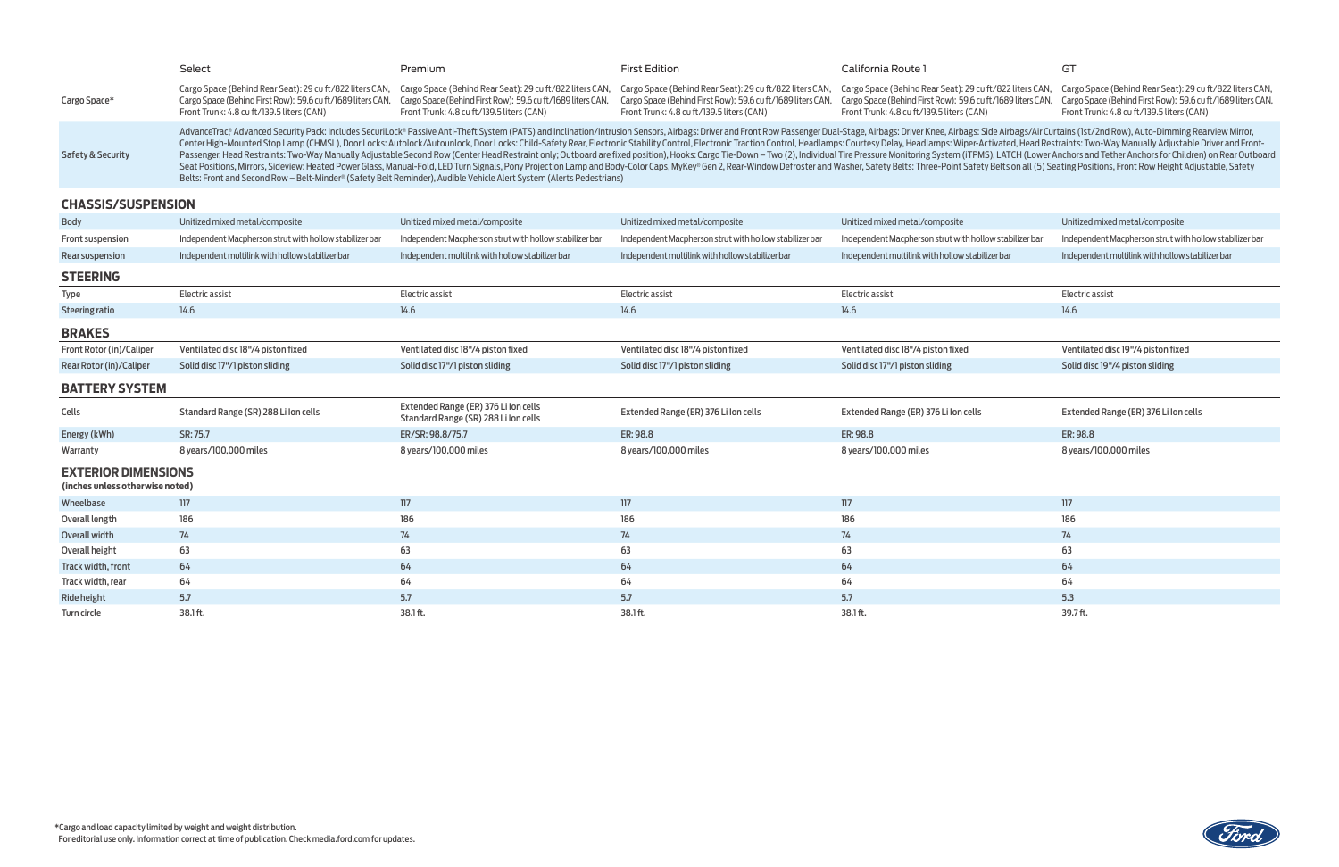|                              | Select                                                                                                                                                                                                                                                                                                                                                                                                                                                                                                                                                                                                                                                                                                                                                                                                                                                                                                                                                                                                             | Premium                                                                                                                                                              | <b>First Edition</b>                                                                                                                                                 | California Route 1                                                                                                            |  |  |
|------------------------------|--------------------------------------------------------------------------------------------------------------------------------------------------------------------------------------------------------------------------------------------------------------------------------------------------------------------------------------------------------------------------------------------------------------------------------------------------------------------------------------------------------------------------------------------------------------------------------------------------------------------------------------------------------------------------------------------------------------------------------------------------------------------------------------------------------------------------------------------------------------------------------------------------------------------------------------------------------------------------------------------------------------------|----------------------------------------------------------------------------------------------------------------------------------------------------------------------|----------------------------------------------------------------------------------------------------------------------------------------------------------------------|-------------------------------------------------------------------------------------------------------------------------------|--|--|
| Cargo Space*                 | Cargo Space (Behind Rear Seat): 29 cu ft/822 liters CAN,<br>Cargo Space (Behind First Row): 59.6 cu ft/1689 liters CAN,<br>Front Trunk: 4.8 cu ft/139.5 liters (CAN)                                                                                                                                                                                                                                                                                                                                                                                                                                                                                                                                                                                                                                                                                                                                                                                                                                               | Cargo Space (Behind Rear Seat): 29 cu ft/822 liters CAN,<br>Cargo Space (Behind First Row): 59.6 cu ft/1689 liters CAN,<br>Front Trunk: 4.8 cu ft/139.5 liters (CAN) | Cargo Space (Behind Rear Seat): 29 cu ft/822 liters CAN,<br>Cargo Space (Behind First Row): 59.6 cu ft/1689 liters CAN,<br>Front Trunk: 4.8 cu ft/139.5 liters (CAN) | Cargo Space (Behind Rear Seat): 29 cu<br>Cargo Space (Behind First Row): 59.6 cu<br>Front Trunk: 4.8 cu ft/139.5 liters (CAN) |  |  |
| <b>Safety &amp; Security</b> | AdvanceTrac®Advanced Security Pack: Includes SecuriLock® Passive Anti-Theft System (PATS) and Inclination/Intrusion Sensors, Airbags: Driver and Front Row Passenger Dual-Stage, Airbags: Driver Knee, Airbags: S<br>Center High-Mounted Stop Lamp (CHMSL), Door Locks: Autolock/Autounlock, Door Locks: Child-Safety Rear, Electronic Stability Control, Electronic Traction Control, Headlamps: Courtesy Delay, Headlamps: Wiper-Action Control,<br>Passenger, Head Restraints: Two-Way Manually Adjustable Second Row (Center Head Restraint only; Outboard are fixed position), Hooks: Cargo Tie-Down - Two (2), Individual Tire Pressure Monitoring System (iTPM)<br>Seat Positions, Mirrors, Sideview: Heated Power Glass, Manual-Fold, LED Turn Signals, Pony Projection Lamp and Body-Color Caps, MyKey® Gen 2, Rear-Window Defroster and Washer, Safety Belts: Three-Point Safety<br>Relts: Front and Second Dow - Relt-Minder® (Safety Relt Deminder), Audible Vehicle Alert System (Alerts Dedestrians) |                                                                                                                                                                      |                                                                                                                                                                      |                                                                                                                               |  |  |



|                                                               | Select                                                                                                                                                                                                                                                                                                                                                                                                                                                                                                                                                                                                                                                                                                                                                                                                                                                                                                                                                                                                                                                     | Premium                                                                                                                                                              | <b>First Edition</b>                                                                                                                                                 | California Route 1                                                                                                                                                   | GT                                                                                                                                                                   |  |
|---------------------------------------------------------------|------------------------------------------------------------------------------------------------------------------------------------------------------------------------------------------------------------------------------------------------------------------------------------------------------------------------------------------------------------------------------------------------------------------------------------------------------------------------------------------------------------------------------------------------------------------------------------------------------------------------------------------------------------------------------------------------------------------------------------------------------------------------------------------------------------------------------------------------------------------------------------------------------------------------------------------------------------------------------------------------------------------------------------------------------------|----------------------------------------------------------------------------------------------------------------------------------------------------------------------|----------------------------------------------------------------------------------------------------------------------------------------------------------------------|----------------------------------------------------------------------------------------------------------------------------------------------------------------------|----------------------------------------------------------------------------------------------------------------------------------------------------------------------|--|
| Cargo Space*                                                  | Cargo Space (Behind Rear Seat): 29 cu ft/822 liters CAN,<br>Cargo Space (Behind First Row): 59.6 cu ft/1689 liters CAN,<br>Front Trunk: 4.8 cu ft/139.5 liters (CAN)                                                                                                                                                                                                                                                                                                                                                                                                                                                                                                                                                                                                                                                                                                                                                                                                                                                                                       | Cargo Space (Behind Rear Seat): 29 cu ft/822 liters CAN,<br>Cargo Space (Behind First Row): 59.6 cu ft/1689 liters CAN,<br>Front Trunk: 4.8 cu ft/139.5 liters (CAN) | Cargo Space (Behind Rear Seat): 29 cu ft/822 liters CAN,<br>Cargo Space (Behind First Row): 59.6 cu ft/1689 liters CAN,<br>Front Trunk: 4.8 cu ft/139.5 liters (CAN) | Cargo Space (Behind Rear Seat): 29 cu ft/822 liters CAN,<br>Cargo Space (Behind First Row): 59.6 cu ft/1689 liters CAN,<br>Front Trunk: 4.8 cu ft/139.5 liters (CAN) | Cargo Space (Behind Rear Seat): 29 cu ft/822 liters CAN,<br>Cargo Space (Behind First Row): 59.6 cu ft/1689 liters CAN,<br>Front Trunk: 4.8 cu ft/139.5 liters (CAN) |  |
| <b>Safety &amp; Security</b>                                  | AdvanceTrac® Advanced Security Pack: Includes SecuriLock® Passive Anti-Theft System (PATS) and Inclination/Intrusion Sensors, Airbags: Driver and Front Row Passenger Dual-Stage, Airbags: Driver Knee, Airbags: Side Airbags/<br>Center High-Mounted Stop Lamp (CHMSL), Door Locks: Autolock/Autounlock, Door Locks: Child-Safety Rear, Electronic Stability Control, Electronic Traction Control, Headlamps: Courtesy Delay, Headlamps: Wiper-Activated, Head<br>Passenger, Head Restraints: Two-Way Manually Adjustable Second Row (Center Head Restraint only; Outboard are fixed position), Hooks: Cargo Tie-Down - Two (2), Individual Tire Pressure Monitoring System (iTPMS), LATCH (Lowe<br>Seat Positions, Mirrors, Sideview: Heated Power Glass, Manual-Fold, LED Turn Signals, Pony Projection Lamp and Body-Color Caps, MyKey® Gen 2, Rear-Window Defroster and Washer, Safety Belts: Three-Point Safety Belts on all<br>Belts: Front and Second Row - Belt-Minder® (Safety Belt Reminder), Audible Vehicle Alert System (Alerts Pedestrians) |                                                                                                                                                                      |                                                                                                                                                                      |                                                                                                                                                                      |                                                                                                                                                                      |  |
| <b>CHASSIS/SUSPENSION</b>                                     |                                                                                                                                                                                                                                                                                                                                                                                                                                                                                                                                                                                                                                                                                                                                                                                                                                                                                                                                                                                                                                                            |                                                                                                                                                                      |                                                                                                                                                                      |                                                                                                                                                                      |                                                                                                                                                                      |  |
| <b>Body</b>                                                   | Unitized mixed metal/composite                                                                                                                                                                                                                                                                                                                                                                                                                                                                                                                                                                                                                                                                                                                                                                                                                                                                                                                                                                                                                             | Unitized mixed metal/composite                                                                                                                                       | Unitized mixed metal/composite                                                                                                                                       | Unitized mixed metal/composite                                                                                                                                       | Unitized mixed metal/composite                                                                                                                                       |  |
| Front suspension                                              | Independent Macpherson strut with hollow stabilizer bar                                                                                                                                                                                                                                                                                                                                                                                                                                                                                                                                                                                                                                                                                                                                                                                                                                                                                                                                                                                                    | Independent Macpherson strut with hollow stabilizer bar                                                                                                              | Independent Macpherson strut with hollow stabilizer bar                                                                                                              | Independent Macpherson strut with hollow stabilizer bar                                                                                                              | Independent Macpherson strut with hollow stabilizer bar                                                                                                              |  |
| Rear suspension                                               | Independent multilink with hollow stabilizer bar                                                                                                                                                                                                                                                                                                                                                                                                                                                                                                                                                                                                                                                                                                                                                                                                                                                                                                                                                                                                           | Independent multilink with hollow stabilizer bar                                                                                                                     | Independent multilink with hollow stabilizer bar                                                                                                                     | Independent multilink with hollow stabilizer bar                                                                                                                     | Independent multilink with hollow stabilizer bar                                                                                                                     |  |
| <b>STEERING</b>                                               |                                                                                                                                                                                                                                                                                                                                                                                                                                                                                                                                                                                                                                                                                                                                                                                                                                                                                                                                                                                                                                                            |                                                                                                                                                                      |                                                                                                                                                                      |                                                                                                                                                                      |                                                                                                                                                                      |  |
| Type                                                          | Electric assist                                                                                                                                                                                                                                                                                                                                                                                                                                                                                                                                                                                                                                                                                                                                                                                                                                                                                                                                                                                                                                            | Electric assist                                                                                                                                                      | Electric assist                                                                                                                                                      | Electric assist                                                                                                                                                      | Electric assist                                                                                                                                                      |  |
| <b>Steering ratio</b>                                         | 14.6                                                                                                                                                                                                                                                                                                                                                                                                                                                                                                                                                                                                                                                                                                                                                                                                                                                                                                                                                                                                                                                       | 14.6                                                                                                                                                                 | 14.6                                                                                                                                                                 | 14.6                                                                                                                                                                 | 14.6                                                                                                                                                                 |  |
| <b>BRAKES</b>                                                 |                                                                                                                                                                                                                                                                                                                                                                                                                                                                                                                                                                                                                                                                                                                                                                                                                                                                                                                                                                                                                                                            |                                                                                                                                                                      |                                                                                                                                                                      |                                                                                                                                                                      |                                                                                                                                                                      |  |
| Front Rotor (in)/Caliper                                      | Ventilated disc 18"/4 piston fixed                                                                                                                                                                                                                                                                                                                                                                                                                                                                                                                                                                                                                                                                                                                                                                                                                                                                                                                                                                                                                         | Ventilated disc 18"/4 piston fixed                                                                                                                                   | Ventilated disc 18"/4 piston fixed                                                                                                                                   | Ventilated disc 18"/4 piston fixed                                                                                                                                   | Ventilated disc 19"/4 piston fixed                                                                                                                                   |  |
| Rear Rotor (in)/Caliper                                       | Solid disc 17"/1 piston sliding                                                                                                                                                                                                                                                                                                                                                                                                                                                                                                                                                                                                                                                                                                                                                                                                                                                                                                                                                                                                                            | Solid disc 17"/1 piston sliding                                                                                                                                      | Solid disc 17"/1 piston sliding                                                                                                                                      | Solid disc 17"/1 piston sliding                                                                                                                                      | Solid disc 19"/4 piston sliding                                                                                                                                      |  |
| <b>BATTERY SYSTEM</b>                                         |                                                                                                                                                                                                                                                                                                                                                                                                                                                                                                                                                                                                                                                                                                                                                                                                                                                                                                                                                                                                                                                            |                                                                                                                                                                      |                                                                                                                                                                      |                                                                                                                                                                      |                                                                                                                                                                      |  |
| Cells                                                         | Standard Range (SR) 288 Lilon cells                                                                                                                                                                                                                                                                                                                                                                                                                                                                                                                                                                                                                                                                                                                                                                                                                                                                                                                                                                                                                        | Extended Range (ER) 376 Lilon cells<br>Standard Range (SR) 288 Lilon cells                                                                                           | Extended Range (ER) 376 Li Ion cells                                                                                                                                 | Extended Range (ER) 376 Lilon cells                                                                                                                                  | Extended Range (ER) 376 Li Ion cells                                                                                                                                 |  |
| Energy (kWh)                                                  | SR: 75.7                                                                                                                                                                                                                                                                                                                                                                                                                                                                                                                                                                                                                                                                                                                                                                                                                                                                                                                                                                                                                                                   | ER/SR: 98.8/75.7                                                                                                                                                     | ER: 98.8                                                                                                                                                             | ER: 98.8                                                                                                                                                             | ER: 98.8                                                                                                                                                             |  |
| Warranty                                                      | 8 years/100,000 miles                                                                                                                                                                                                                                                                                                                                                                                                                                                                                                                                                                                                                                                                                                                                                                                                                                                                                                                                                                                                                                      | 8 years/100,000 miles                                                                                                                                                | 8 years/100,000 miles                                                                                                                                                | 8 years/100,000 miles                                                                                                                                                | 8 years/100,000 miles                                                                                                                                                |  |
| <b>EXTERIOR DIMENSIONS</b><br>(inches unless otherwise noted) |                                                                                                                                                                                                                                                                                                                                                                                                                                                                                                                                                                                                                                                                                                                                                                                                                                                                                                                                                                                                                                                            |                                                                                                                                                                      |                                                                                                                                                                      |                                                                                                                                                                      |                                                                                                                                                                      |  |
| Wheelbase                                                     | 117                                                                                                                                                                                                                                                                                                                                                                                                                                                                                                                                                                                                                                                                                                                                                                                                                                                                                                                                                                                                                                                        | 117                                                                                                                                                                  | 117                                                                                                                                                                  | 117                                                                                                                                                                  | 117                                                                                                                                                                  |  |
| Overall length                                                | 186                                                                                                                                                                                                                                                                                                                                                                                                                                                                                                                                                                                                                                                                                                                                                                                                                                                                                                                                                                                                                                                        | 186                                                                                                                                                                  | 186                                                                                                                                                                  | 186                                                                                                                                                                  | 186                                                                                                                                                                  |  |
| Overall width                                                 | 74                                                                                                                                                                                                                                                                                                                                                                                                                                                                                                                                                                                                                                                                                                                                                                                                                                                                                                                                                                                                                                                         | 74                                                                                                                                                                   | 74                                                                                                                                                                   | 74                                                                                                                                                                   | 74                                                                                                                                                                   |  |
| Overall height                                                | 63                                                                                                                                                                                                                                                                                                                                                                                                                                                                                                                                                                                                                                                                                                                                                                                                                                                                                                                                                                                                                                                         | 63                                                                                                                                                                   | 63                                                                                                                                                                   | 63                                                                                                                                                                   | 63                                                                                                                                                                   |  |
| Track width, front                                            | 64                                                                                                                                                                                                                                                                                                                                                                                                                                                                                                                                                                                                                                                                                                                                                                                                                                                                                                                                                                                                                                                         | 64                                                                                                                                                                   | 64                                                                                                                                                                   | 64                                                                                                                                                                   | 64                                                                                                                                                                   |  |
| Track width, rear                                             | 64                                                                                                                                                                                                                                                                                                                                                                                                                                                                                                                                                                                                                                                                                                                                                                                                                                                                                                                                                                                                                                                         | 64                                                                                                                                                                   | 64                                                                                                                                                                   | 64                                                                                                                                                                   | 64                                                                                                                                                                   |  |
| <b>Ride height</b>                                            | 5.7                                                                                                                                                                                                                                                                                                                                                                                                                                                                                                                                                                                                                                                                                                                                                                                                                                                                                                                                                                                                                                                        | 5.7                                                                                                                                                                  | 5.7                                                                                                                                                                  | 5.7                                                                                                                                                                  | 5.3                                                                                                                                                                  |  |
| Turn circle                                                   | 38.1 ft.                                                                                                                                                                                                                                                                                                                                                                                                                                                                                                                                                                                                                                                                                                                                                                                                                                                                                                                                                                                                                                                   | 38.1 ft.                                                                                                                                                             | 38.1 ft.                                                                                                                                                             | 38.1 ft.                                                                                                                                                             | 39.7 ft.                                                                                                                                                             |  |